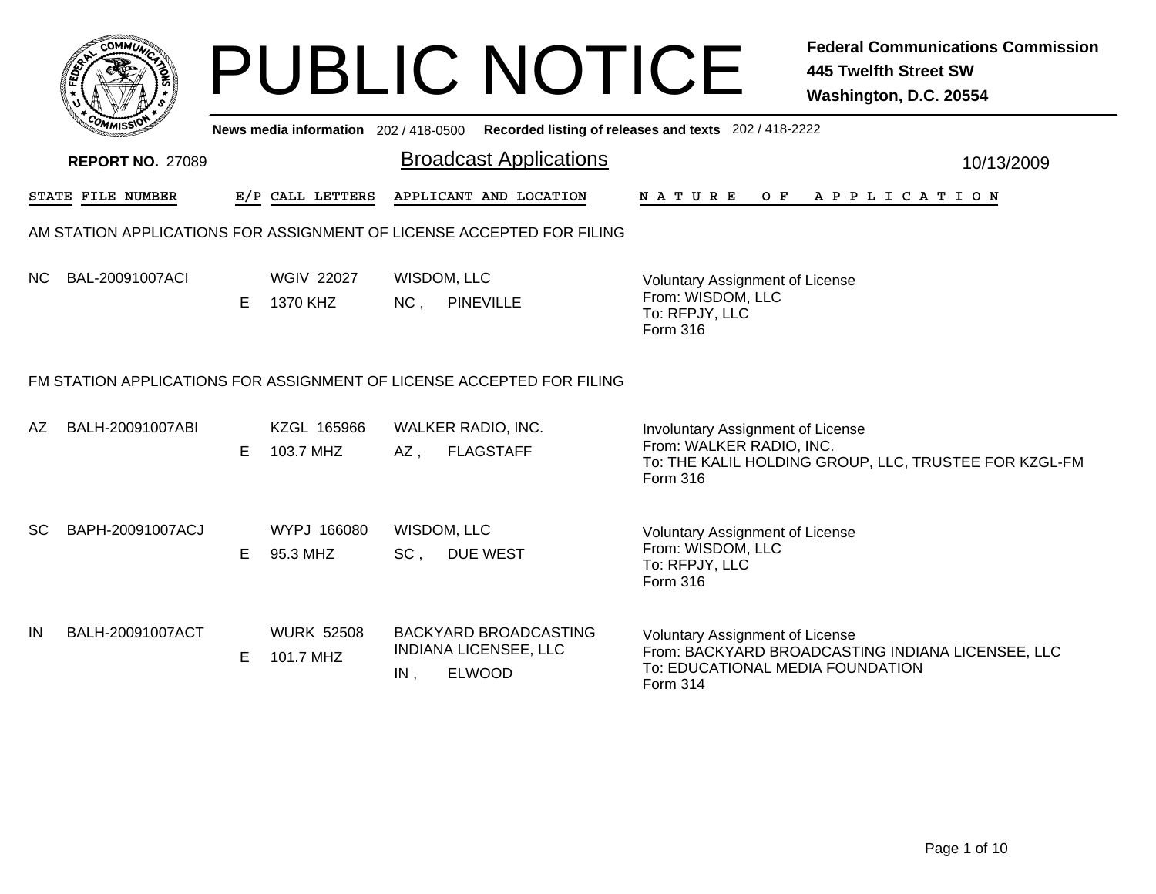|                                                                                                                          |                                     | <b>PUBLIC NOTICE</b>                                                                 | <b>Federal Communications Commission</b><br><b>445 Twelfth Street SW</b><br>Washington, D.C. 20554                                          |  |  |  |  |  |  |  |
|--------------------------------------------------------------------------------------------------------------------------|-------------------------------------|--------------------------------------------------------------------------------------|---------------------------------------------------------------------------------------------------------------------------------------------|--|--|--|--|--|--|--|
| News media information 202/418-0500 Recorded listing of releases and texts 202/418-2222<br><b>Broadcast Applications</b> |                                     |                                                                                      |                                                                                                                                             |  |  |  |  |  |  |  |
| <b>REPORT NO. 27089</b>                                                                                                  |                                     |                                                                                      | 10/13/2009                                                                                                                                  |  |  |  |  |  |  |  |
| STATE FILE NUMBER                                                                                                        | E/P CALL LETTERS                    | APPLICANT AND LOCATION                                                               | N A T U R E<br>O F<br>A P P L I C A T I O N                                                                                                 |  |  |  |  |  |  |  |
| AM STATION APPLICATIONS FOR ASSIGNMENT OF LICENSE ACCEPTED FOR FILING                                                    |                                     |                                                                                      |                                                                                                                                             |  |  |  |  |  |  |  |
| BAL-20091007ACI<br>NC.                                                                                                   | <b>WGIV 22027</b><br>E.<br>1370 KHZ | WISDOM, LLC<br>NC,<br><b>PINEVILLE</b>                                               | <b>Voluntary Assignment of License</b><br>From: WISDOM, LLC<br>To: RFPJY, LLC<br>Form 316                                                   |  |  |  |  |  |  |  |
|                                                                                                                          |                                     | FM STATION APPLICATIONS FOR ASSIGNMENT OF LICENSE ACCEPTED FOR FILING                |                                                                                                                                             |  |  |  |  |  |  |  |
| BALH-20091007ABI<br>AZ                                                                                                   | KZGL 165966<br>103.7 MHZ<br>E.      | WALKER RADIO, INC.<br>AZ.<br><b>FLAGSTAFF</b>                                        | Involuntary Assignment of License<br>From: WALKER RADIO, INC.<br>To: THE KALIL HOLDING GROUP, LLC, TRUSTEE FOR KZGL-FM<br>Form 316          |  |  |  |  |  |  |  |
| BAPH-20091007ACJ<br>SC.                                                                                                  | WYPJ 166080<br>E.<br>95.3 MHZ       | WISDOM, LLC<br>SC <sub>1</sub><br><b>DUE WEST</b>                                    | <b>Voluntary Assignment of License</b><br>From: WISDOM, LLC<br>To: RFPJY, LLC<br>Form 316                                                   |  |  |  |  |  |  |  |
| BALH-20091007ACT<br>IN                                                                                                   | <b>WURK 52508</b><br>101.7 MHZ<br>E | <b>BACKYARD BROADCASTING</b><br><b>INDIANA LICENSEE, LLC</b><br><b>ELWOOD</b><br>IN. | Voluntary Assignment of License<br>From: BACKYARD BROADCASTING INDIANA LICENSEE, LLC<br>To: EDUCATIONAL MEDIA FOUNDATION<br><b>Form 314</b> |  |  |  |  |  |  |  |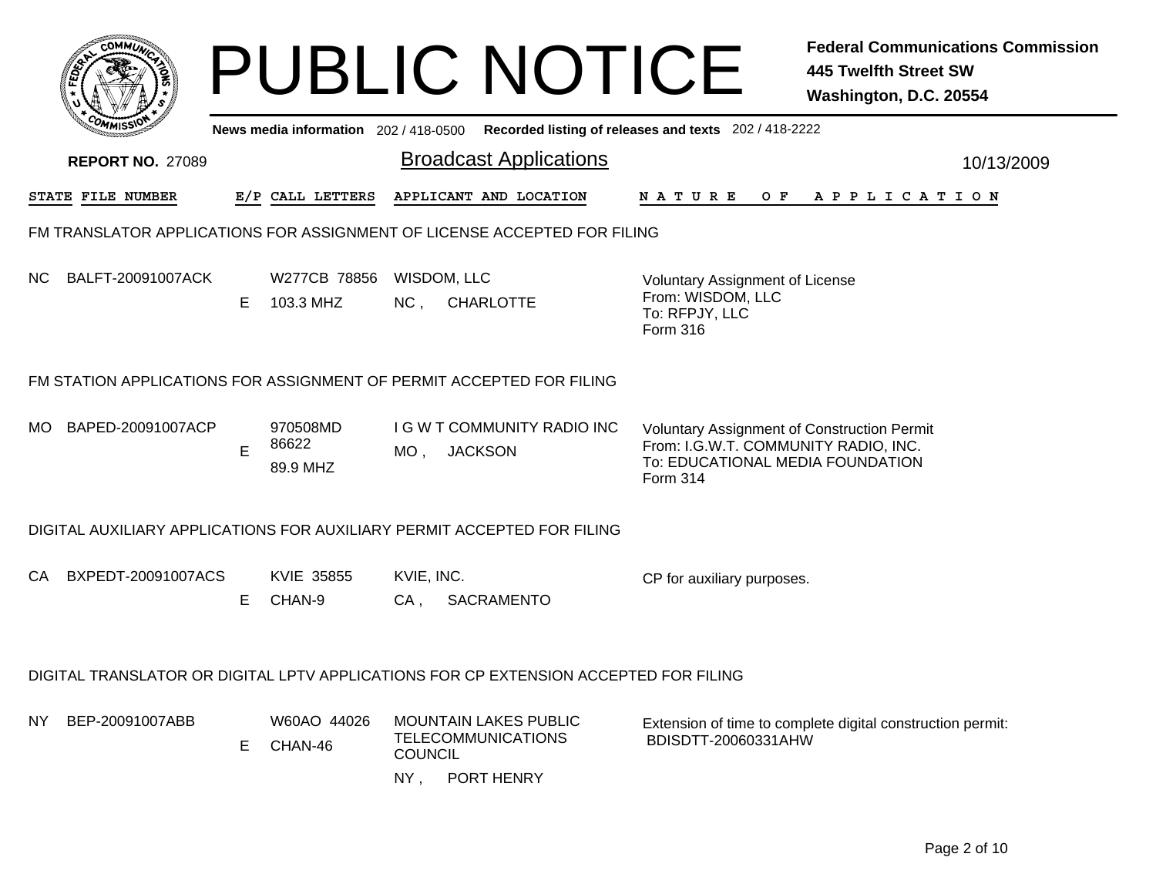| с0ММ <i>и</i>            |                                                                          |    | <b>PUBLIC NOTICE</b>                                                                        |                          |                                                                         |                                    |                                                                                           |     | <b>Federal Communications Commission</b><br>445 Twelfth Street SW<br>Washington, D.C. 20554                                    |
|--------------------------|--------------------------------------------------------------------------|----|---------------------------------------------------------------------------------------------|--------------------------|-------------------------------------------------------------------------|------------------------------------|-------------------------------------------------------------------------------------------|-----|--------------------------------------------------------------------------------------------------------------------------------|
|                          |                                                                          |    | News media information 202 / 418-0500 Recorded listing of releases and texts 202 / 418-2222 |                          |                                                                         |                                    |                                                                                           |     |                                                                                                                                |
| <b>REPORT NO. 27089</b>  |                                                                          |    |                                                                                             |                          |                                                                         | <b>Broadcast Applications</b>      |                                                                                           |     | 10/13/2009                                                                                                                     |
| STATE FILE NUMBER        |                                                                          |    | E/P CALL LETTERS                                                                            |                          | APPLICANT AND LOCATION                                                  |                                    | <b>NATURE</b>                                                                             | O F | A P P L I C A T I O N                                                                                                          |
|                          | FM TRANSLATOR APPLICATIONS FOR ASSIGNMENT OF LICENSE ACCEPTED FOR FILING |    |                                                                                             |                          |                                                                         |                                    |                                                                                           |     |                                                                                                                                |
| BALFT-20091007ACK<br>NC. |                                                                          | Е  | W277CB 78856<br>103.3 MHZ                                                                   | NC,                      | WISDOM, LLC<br><b>CHARLOTTE</b>                                         |                                    | Voluntary Assignment of License<br>From: WISDOM, LLC<br>To: RFPJY, LLC<br><b>Form 316</b> |     |                                                                                                                                |
|                          |                                                                          |    | FM STATION APPLICATIONS FOR ASSIGNMENT OF PERMIT ACCEPTED FOR FILING                        |                          |                                                                         |                                    |                                                                                           |     |                                                                                                                                |
| BAPED-20091007ACP<br>MO. |                                                                          | E  | 970508MD<br>86622<br>89.9 MHZ                                                               | $MO$ ,                   | <b>JACKSON</b>                                                          | <b>I G W T COMMUNITY RADIO INC</b> | <b>Form 314</b>                                                                           |     | <b>Voluntary Assignment of Construction Permit</b><br>From: I.G.W.T. COMMUNITY RADIO, INC.<br>To: EDUCATIONAL MEDIA FOUNDATION |
|                          |                                                                          |    | DIGITAL AUXILIARY APPLICATIONS FOR AUXILIARY PERMIT ACCEPTED FOR FILING                     |                          |                                                                         |                                    |                                                                                           |     |                                                                                                                                |
| CA                       | BXPEDT-20091007ACS                                                       | Е  | KVIE 35855<br>CHAN-9                                                                        | KVIE, INC.<br>$CA$ ,     | <b>SACRAMENTO</b>                                                       |                                    | CP for auxiliary purposes.                                                                |     |                                                                                                                                |
|                          |                                                                          |    | DIGITAL TRANSLATOR OR DIGITAL LPTV APPLICATIONS FOR CP EXTENSION ACCEPTED FOR FILING        |                          |                                                                         |                                    |                                                                                           |     |                                                                                                                                |
| BEP-20091007ABB<br>NY.   |                                                                          | E. | W60AO 44026<br>CHAN-46                                                                      | <b>COUNCIL</b><br>$NY$ , | <b>MOUNTAIN LAKES PUBLIC</b><br><b>TELECOMMUNICATIONS</b><br>PORT HENRY |                                    | BDISDTT-20060331AHW                                                                       |     | Extension of time to complete digital construction permit:                                                                     |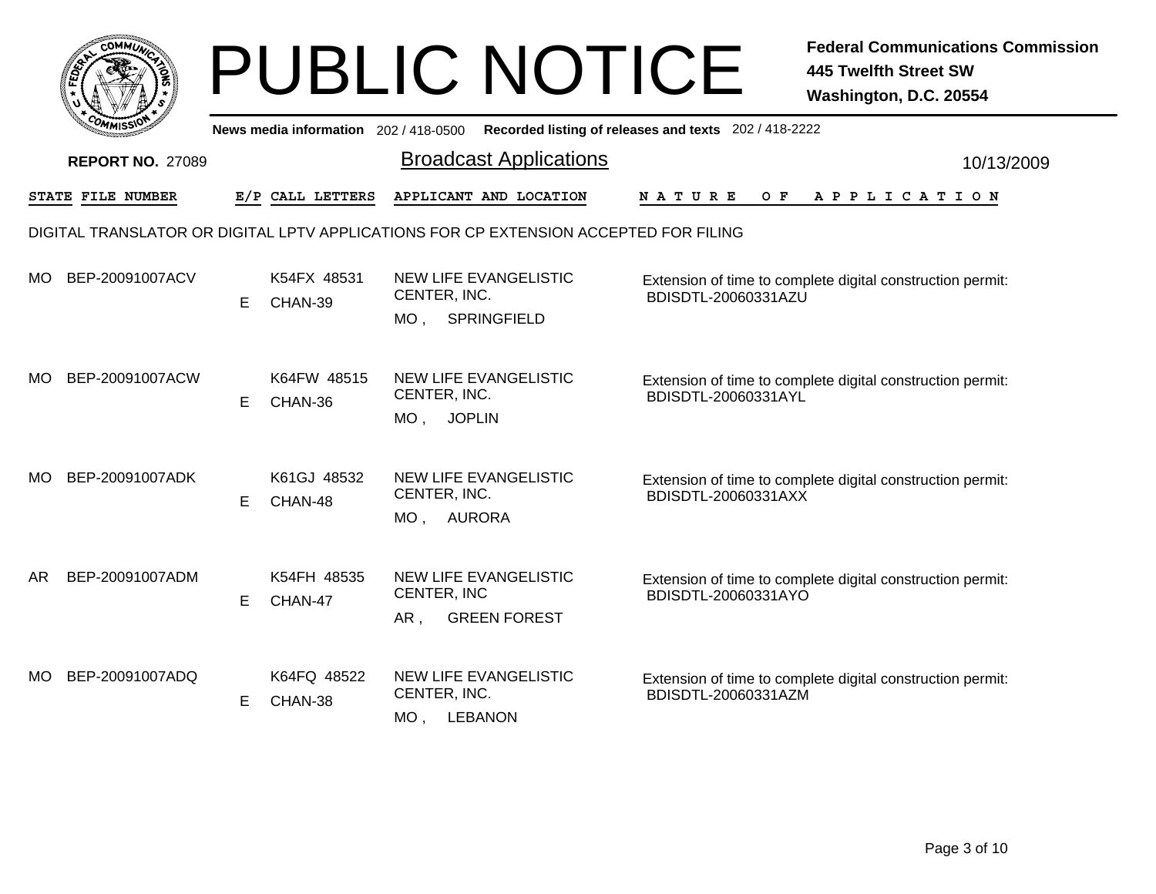|     | <b>COMMUN</b>           |    |                                     | <b>PUBLIC NOTICE</b>                                                                 |                                                       | <b>Federal Communications Commission</b><br><b>445 Twelfth Street SW</b><br>Washington, D.C. 20554 |
|-----|-------------------------|----|-------------------------------------|--------------------------------------------------------------------------------------|-------------------------------------------------------|----------------------------------------------------------------------------------------------------|
|     |                         |    | News media information 202/418-0500 |                                                                                      | Recorded listing of releases and texts 202 / 418-2222 |                                                                                                    |
|     | <b>REPORT NO. 27089</b> |    |                                     | <b>Broadcast Applications</b>                                                        |                                                       | 10/13/2009                                                                                         |
|     | STATE FILE NUMBER       |    | E/P CALL LETTERS                    | APPLICANT AND LOCATION                                                               | NATURE<br>O F                                         | APPLICATION                                                                                        |
|     |                         |    |                                     | DIGITAL TRANSLATOR OR DIGITAL LPTV APPLICATIONS FOR CP EXTENSION ACCEPTED FOR FILING |                                                       |                                                                                                    |
| MO  | BEP-20091007ACV         | E. | K54FX 48531<br>CHAN-39              | NEW LIFE EVANGELISTIC<br>CENTER, INC.<br>MO. SPRINGFIELD                             | BDISDTL-20060331AZU                                   | Extension of time to complete digital construction permit:                                         |
| MO. | BEP-20091007ACW         | E. | K64FW 48515<br>CHAN-36              | NEW LIFE EVANGELISTIC<br>CENTER, INC.<br>MO, JOPLIN                                  | BDISDTL-20060331AYL                                   | Extension of time to complete digital construction permit:                                         |
| MO. | BEP-20091007ADK         | E. | K61GJ 48532<br>CHAN-48              | NEW LIFE EVANGELISTIC<br>CENTER, INC.<br>MO, AURORA                                  | BDISDTL-20060331AXX                                   | Extension of time to complete digital construction permit:                                         |
| AR  | BEP-20091007ADM         | E. | K54FH 48535<br>CHAN-47              | <b>NEW LIFE EVANGELISTIC</b><br>CENTER, INC<br>AR.<br><b>GREEN FOREST</b>            | BDISDTL-20060331AYO                                   | Extension of time to complete digital construction permit:                                         |
| MO. | BEP-20091007ADQ         | E  | K64FQ 48522<br>CHAN-38              | NEW LIFE EVANGELISTIC<br>CENTER, INC.<br>$MO$ ,<br><b>LEBANON</b>                    | BDISDTL-20060331AZM                                   | Extension of time to complete digital construction permit:                                         |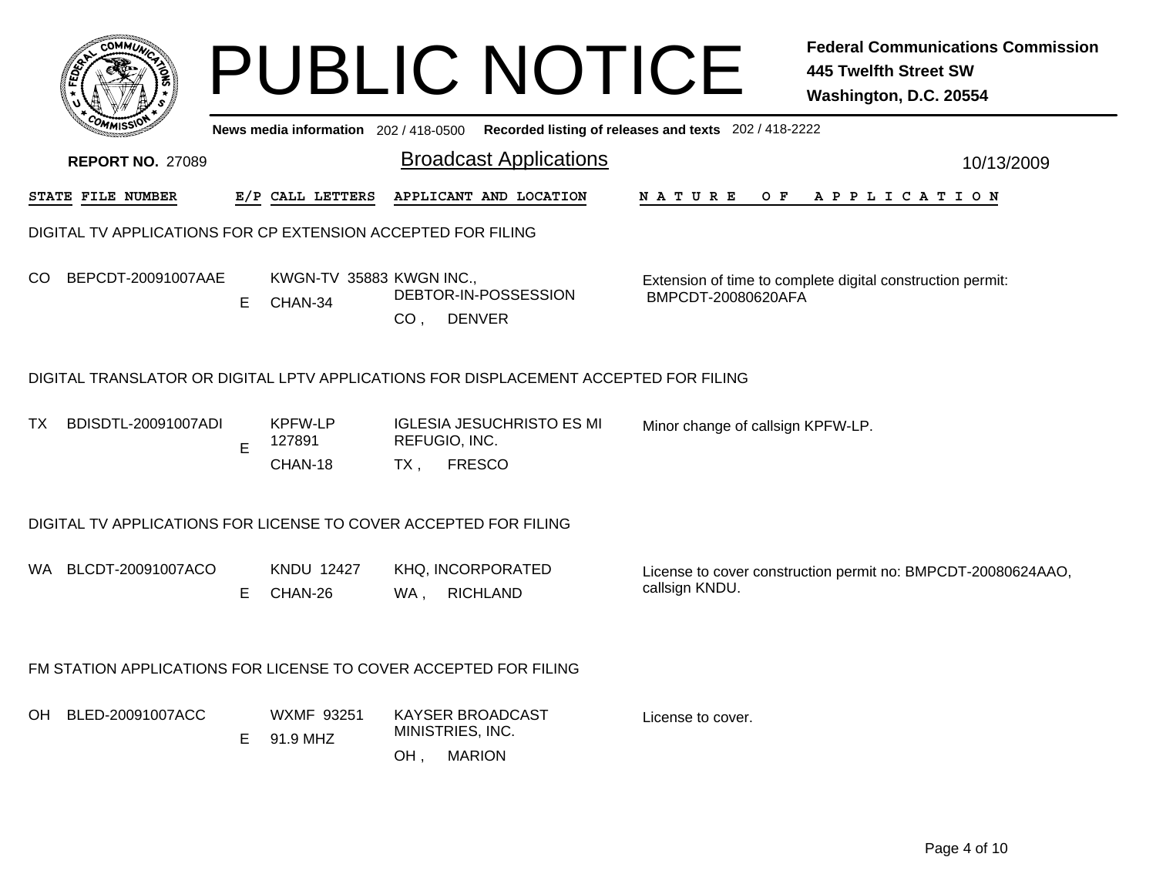|     |                                                                  |    |                                       |                 | <b>PUBLIC NOTICE</b>                                                                 |                                                       | <b>Federal Communications Commission</b><br><b>445 Twelfth Street SW</b><br>Washington, D.C. 20554 |  |  |  |
|-----|------------------------------------------------------------------|----|---------------------------------------|-----------------|--------------------------------------------------------------------------------------|-------------------------------------------------------|----------------------------------------------------------------------------------------------------|--|--|--|
|     |                                                                  |    | News media information 202 / 418-0500 |                 |                                                                                      | Recorded listing of releases and texts 202 / 418-2222 |                                                                                                    |  |  |  |
|     | <b>REPORT NO. 27089</b>                                          |    |                                       |                 | <b>Broadcast Applications</b>                                                        |                                                       | 10/13/2009                                                                                         |  |  |  |
|     | STATE FILE NUMBER                                                |    | E/P CALL LETTERS                      |                 | APPLICANT AND LOCATION                                                               | N A T U R E<br>O F                                    | A P P L I C A T I O N                                                                              |  |  |  |
|     | DIGITAL TV APPLICATIONS FOR CP EXTENSION ACCEPTED FOR FILING     |    |                                       |                 |                                                                                      |                                                       |                                                                                                    |  |  |  |
| CO. | BEPCDT-20091007AAE                                               | E. | KWGN-TV 35883 KWGN INC.,<br>CHAN-34   | CO <sub>1</sub> | DEBTOR-IN-POSSESSION<br><b>DENVER</b>                                                | BMPCDT-20080620AFA                                    | Extension of time to complete digital construction permit:                                         |  |  |  |
|     |                                                                  |    |                                       |                 | DIGITAL TRANSLATOR OR DIGITAL LPTV APPLICATIONS FOR DISPLACEMENT ACCEPTED FOR FILING |                                                       |                                                                                                    |  |  |  |
| TX. | BDISDTL-20091007ADI                                              | E  | <b>KPFW-LP</b><br>127891              |                 | <b>IGLESIA JESUCHRISTO ES MI</b><br>REFUGIO, INC.                                    | Minor change of callsign KPFW-LP.                     |                                                                                                    |  |  |  |
|     |                                                                  |    | CHAN-18                               | $TX$ ,          | <b>FRESCO</b>                                                                        |                                                       |                                                                                                    |  |  |  |
|     | DIGITAL TV APPLICATIONS FOR LICENSE TO COVER ACCEPTED FOR FILING |    |                                       |                 |                                                                                      |                                                       |                                                                                                    |  |  |  |
| WA. | BLCDT-20091007ACO                                                | E. | <b>KNDU 12427</b><br>CHAN-26          | WA ,            | KHQ, INCORPORATED<br><b>RICHLAND</b>                                                 | callsign KNDU.                                        | License to cover construction permit no: BMPCDT-20080624AAO,                                       |  |  |  |
|     | FM STATION APPLICATIONS FOR LICENSE TO COVER ACCEPTED FOR FILING |    |                                       |                 |                                                                                      |                                                       |                                                                                                    |  |  |  |
| OH. | BLED-20091007ACC                                                 | E. | WXMF 93251<br>91.9 MHZ                | OH,             | KAYSER BROADCAST<br>MINISTRIES, INC.<br><b>MARION</b>                                | License to cover.                                     |                                                                                                    |  |  |  |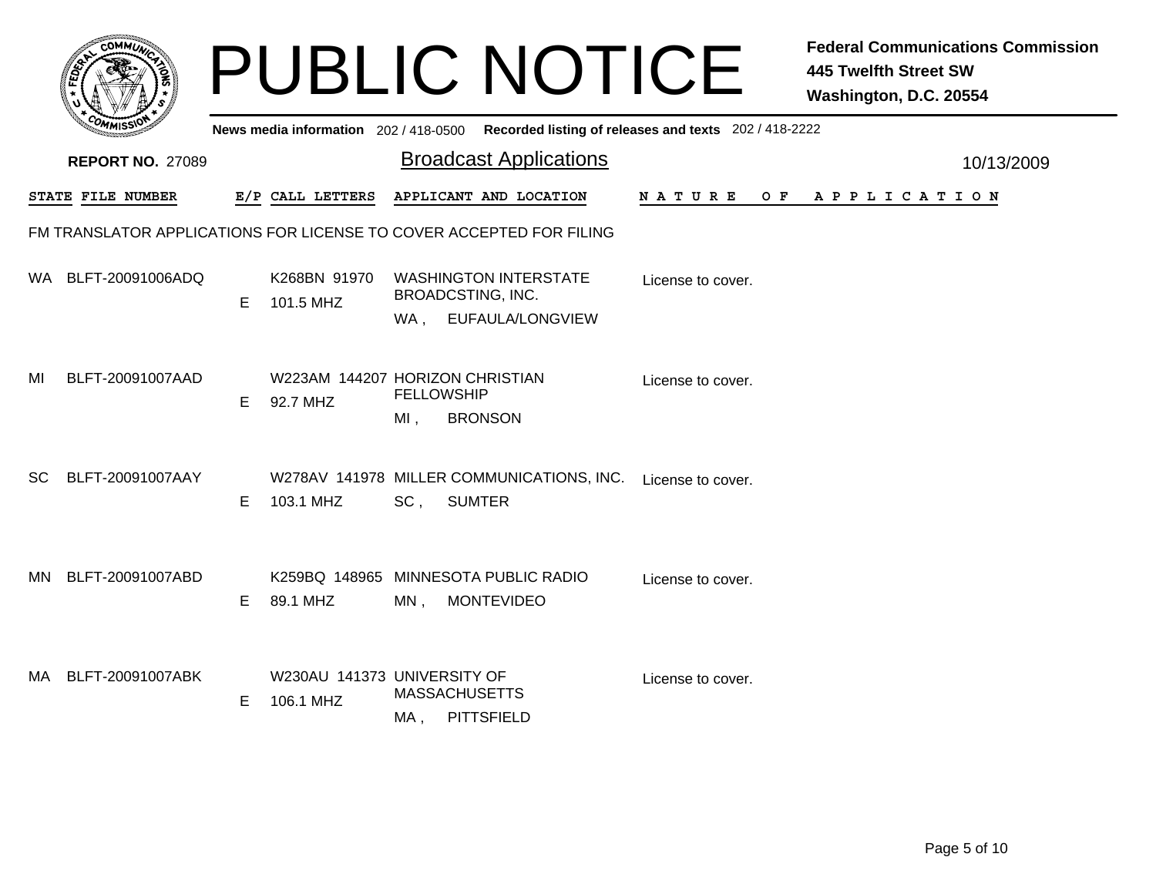|           |                                                                     |    |                                                  |                                 | <b>PUBLIC NOTICE</b>                                       |                                                                                         | <b>Federal Communications Commission</b><br><b>445 Twelfth Street SW</b><br>Washington, D.C. 20554 |
|-----------|---------------------------------------------------------------------|----|--------------------------------------------------|---------------------------------|------------------------------------------------------------|-----------------------------------------------------------------------------------------|----------------------------------------------------------------------------------------------------|
|           |                                                                     |    |                                                  |                                 |                                                            | News media information 202/418-0500 Recorded listing of releases and texts 202/418-2222 |                                                                                                    |
|           | <b>REPORT NO. 27089</b>                                             |    |                                                  |                                 | <b>Broadcast Applications</b>                              |                                                                                         | 10/13/2009                                                                                         |
|           | STATE FILE NUMBER                                                   |    | E/P CALL LETTERS                                 |                                 | APPLICANT AND LOCATION                                     | N A T U R E<br>O F                                                                      | A P P L I C A T I O N                                                                              |
|           | FM TRANSLATOR APPLICATIONS FOR LICENSE TO COVER ACCEPTED FOR FILING |    |                                                  |                                 |                                                            |                                                                                         |                                                                                                    |
| WA.       | BLFT-20091006ADQ                                                    | E. | K268BN 91970<br>101.5 MHZ                        | <b>BROADCSTING, INC.</b><br>WA, | <b>WASHINGTON INTERSTATE</b><br>EUFAULA/LONGVIEW           | License to cover.                                                                       |                                                                                                    |
| MI        | BLFT-20091007AAD                                                    | E. | W223AM 144207 HORIZON CHRISTIAN<br>92.7 MHZ      | <b>FELLOWSHIP</b><br>$MI$ ,     | <b>BRONSON</b>                                             | License to cover.                                                                       |                                                                                                    |
| SC.       | BLFT-20091007AAY                                                    | E. | 103.1 MHZ                                        | SC,                             | W278AV 141978 MILLER COMMUNICATIONS, INC.<br><b>SUMTER</b> | License to cover.                                                                       |                                                                                                    |
| <b>MN</b> | BLFT-20091007ABD                                                    | E  | K259BQ 148965 MINNESOTA PUBLIC RADIO<br>89.1 MHZ | MN,                             | <b>MONTEVIDEO</b>                                          | License to cover.                                                                       |                                                                                                    |
| MA.       | BLFT-20091007ABK                                                    | E. | W230AU 141373 UNIVERSITY OF<br>106.1 MHZ         | <b>MASSACHUSETTS</b><br>MA ,    | <b>PITTSFIELD</b>                                          | License to cover.                                                                       |                                                                                                    |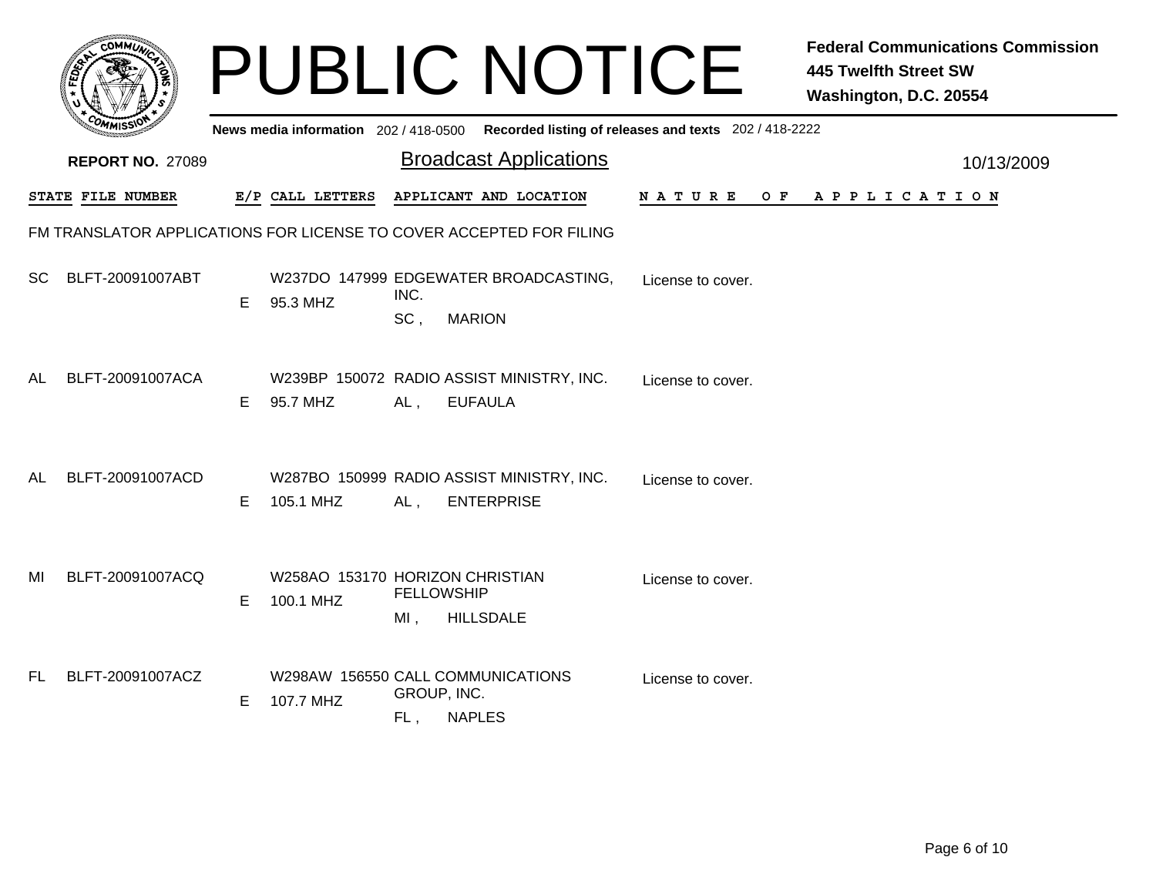|           |                                                                     |    |                                                |                              | <b>PUBLIC NOTICE</b>                                           |                                                                                         | <b>Federal Communications Commission</b><br><b>445 Twelfth Street SW</b><br>Washington, D.C. 20554 |            |
|-----------|---------------------------------------------------------------------|----|------------------------------------------------|------------------------------|----------------------------------------------------------------|-----------------------------------------------------------------------------------------|----------------------------------------------------------------------------------------------------|------------|
|           |                                                                     |    |                                                |                              |                                                                | News media information 202/418-0500 Recorded listing of releases and texts 202/418-2222 |                                                                                                    |            |
|           | <b>REPORT NO. 27089</b>                                             |    |                                                |                              | <b>Broadcast Applications</b>                                  |                                                                                         |                                                                                                    | 10/13/2009 |
|           | <b>STATE FILE NUMBER</b>                                            |    | E/P CALL LETTERS                               |                              | APPLICANT AND LOCATION                                         | <b>NATURE</b>                                                                           | OF APPLICATION                                                                                     |            |
|           | FM TRANSLATOR APPLICATIONS FOR LICENSE TO COVER ACCEPTED FOR FILING |    |                                                |                              |                                                                |                                                                                         |                                                                                                    |            |
| <b>SC</b> | BLFT-20091007ABT                                                    | E. | 95.3 MHZ                                       | INC.<br>SC,<br><b>MARION</b> | W237DO 147999 EDGEWATER BROADCASTING,                          | License to cover.                                                                       |                                                                                                    |            |
| AL        | BLFT-20091007ACA                                                    | E. | 95.7 MHZ                                       | AL,                          | W239BP 150072 RADIO ASSIST MINISTRY, INC.<br><b>EUFAULA</b>    | License to cover.                                                                       |                                                                                                    |            |
| AL        | BLFT-20091007ACD                                                    | E. | 105.1 MHZ                                      | AL,                          | W287BO 150999 RADIO ASSIST MINISTRY, INC.<br><b>ENTERPRISE</b> | License to cover.                                                                       |                                                                                                    |            |
| MI        | BLFT-20091007ACQ                                                    | E. | W258AO 153170 HORIZON CHRISTIAN<br>100.1 MHZ   | <b>FELLOWSHIP</b><br>$MI$ ,  | <b>HILLSDALE</b>                                               | License to cover.                                                                       |                                                                                                    |            |
| FL.       | BLFT-20091007ACZ                                                    | E  | W298AW 156550 CALL COMMUNICATIONS<br>107.7 MHZ | GROUP, INC.<br>FL,           | <b>NAPLES</b>                                                  | License to cover.                                                                       |                                                                                                    |            |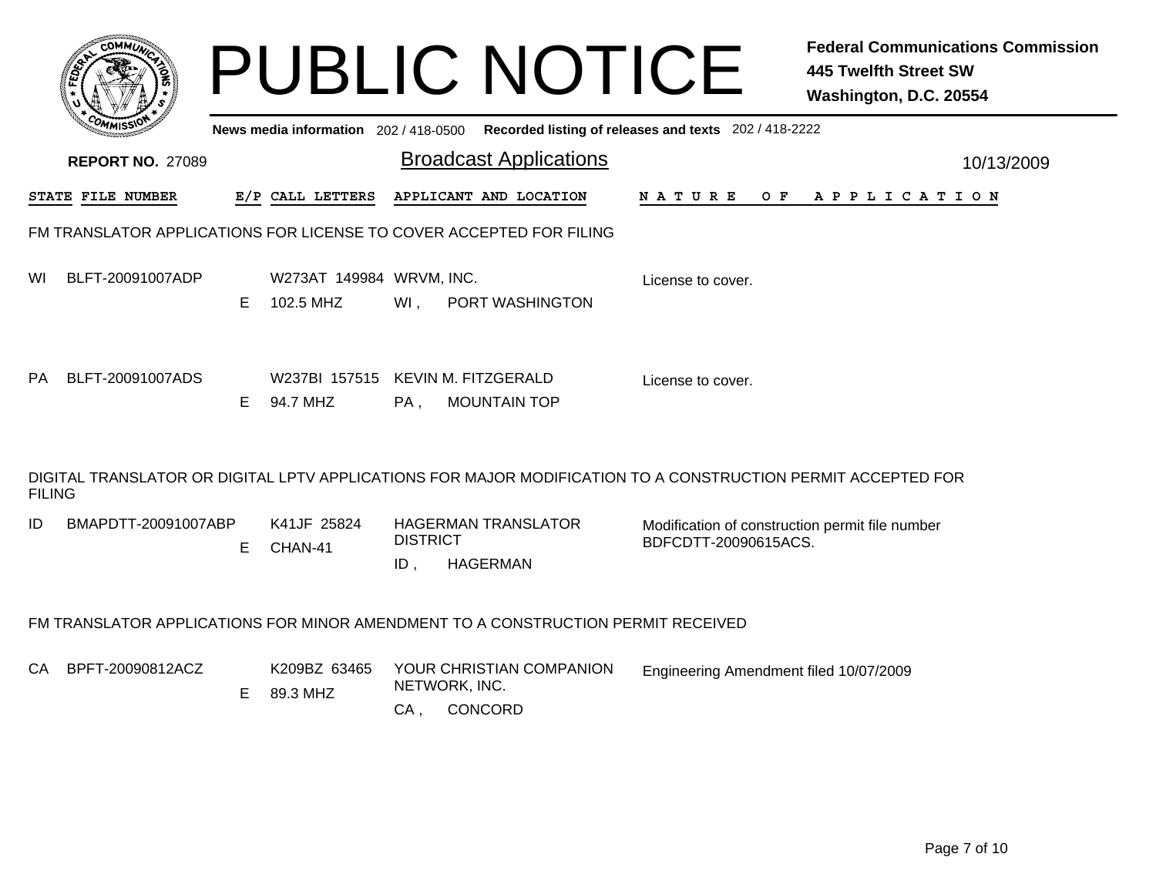|               |                                                                     |    |                                               |                           | <b>PUBLIC NOTICE</b>                                                             |                                                                                                              | <b>Federal Communications Commission</b><br><b>445 Twelfth Street SW</b><br>Washington, D.C. 20554 |
|---------------|---------------------------------------------------------------------|----|-----------------------------------------------|---------------------------|----------------------------------------------------------------------------------|--------------------------------------------------------------------------------------------------------------|----------------------------------------------------------------------------------------------------|
|               |                                                                     |    | News media information 202/418-0500           |                           |                                                                                  | Recorded listing of releases and texts 202 / 418-2222                                                        |                                                                                                    |
|               | <b>REPORT NO. 27089</b>                                             |    |                                               |                           | <b>Broadcast Applications</b>                                                    |                                                                                                              | 10/13/2009                                                                                         |
|               | STATE FILE NUMBER                                                   |    | E/P CALL LETTERS                              |                           | APPLICANT AND LOCATION                                                           | N A T U R E<br>O F                                                                                           | A P P L I C A T I O N                                                                              |
|               | FM TRANSLATOR APPLICATIONS FOR LICENSE TO COVER ACCEPTED FOR FILING |    |                                               |                           |                                                                                  |                                                                                                              |                                                                                                    |
| WI            | BLFT-20091007ADP                                                    | Е  | W273AT 149984 WRVM, INC.<br>102.5 MHZ         | Wl,                       | PORT WASHINGTON                                                                  | License to cover.                                                                                            |                                                                                                    |
| <b>PA</b>     | BLFT-20091007ADS                                                    | E. | W237BI 157515 KEVIN M. FITZGERALD<br>94.7 MHZ | $PA$ .                    | <b>MOUNTAIN TOP</b>                                                              | License to cover.                                                                                            |                                                                                                    |
| <b>FILING</b> |                                                                     |    |                                               |                           |                                                                                  | DIGITAL TRANSLATOR OR DIGITAL LPTV APPLICATIONS FOR MAJOR MODIFICATION TO A CONSTRUCTION PERMIT ACCEPTED FOR |                                                                                                    |
| ID            | BMAPDTT-20091007ABP                                                 | E  | K41JF 25824<br>CHAN-41                        | <b>DISTRICT</b><br>$ID$ , | <b>HAGERMAN TRANSLATOR</b><br><b>HAGERMAN</b>                                    | Modification of construction permit file number<br>BDFCDTT-20090615ACS.                                      |                                                                                                    |
|               |                                                                     |    |                                               |                           | FM TRANSLATOR APPLICATIONS FOR MINOR AMENDMENT TO A CONSTRUCTION PERMIT RECEIVED |                                                                                                              |                                                                                                    |
| CA            | BPFT-20090812ACZ                                                    | Е  | K209BZ 63465<br>89.3 MHZ                      | NETWORK, INC.<br>$CA$ ,   | YOUR CHRISTIAN COMPANION<br>CONCORD                                              | Engineering Amendment filed 10/07/2009                                                                       |                                                                                                    |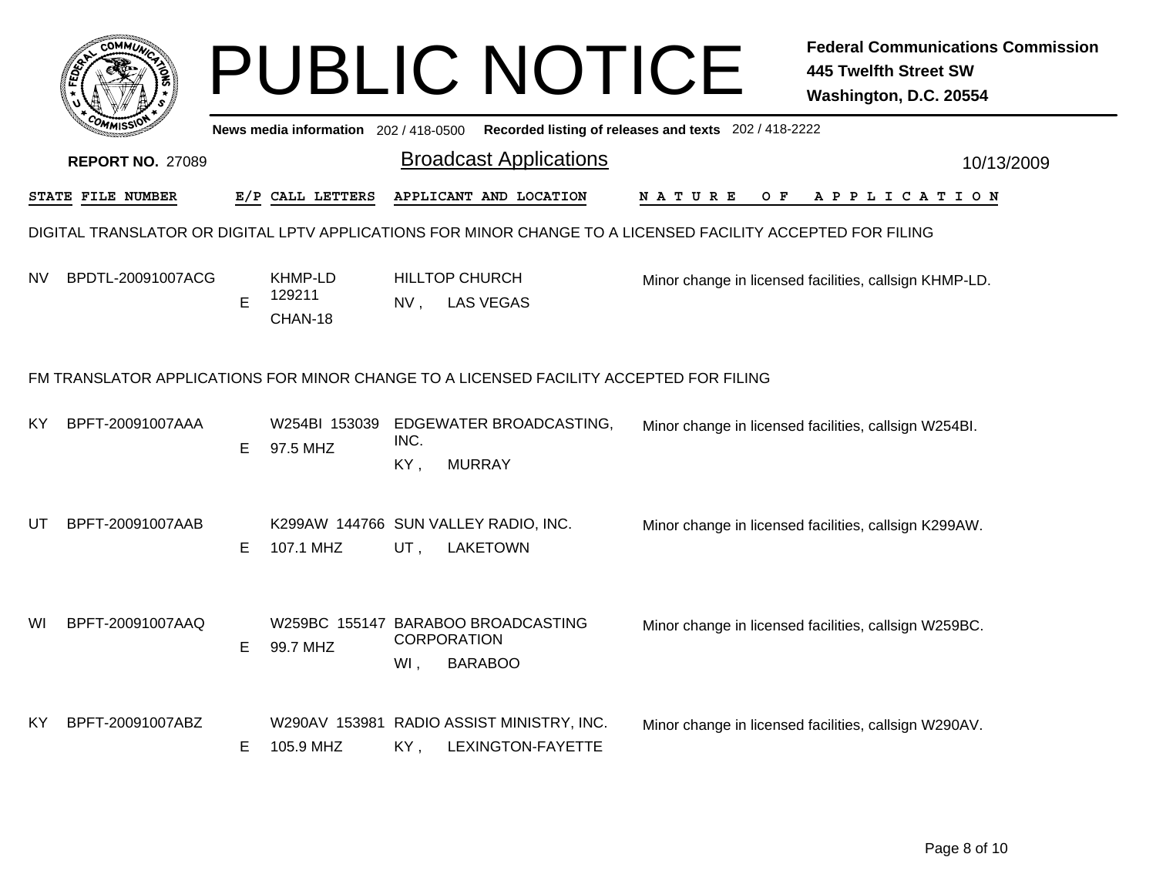|    | <b>COMMI)</b>           |    |                                     |             | <b>PUBLIC NOTICE</b>                                                                                        |                                                       | <b>Federal Communications Commission</b><br><b>445 Twelfth Street SW</b><br>Washington, D.C. 20554 |
|----|-------------------------|----|-------------------------------------|-------------|-------------------------------------------------------------------------------------------------------------|-------------------------------------------------------|----------------------------------------------------------------------------------------------------|
|    |                         |    | News media information 202/418-0500 |             |                                                                                                             | Recorded listing of releases and texts 202 / 418-2222 |                                                                                                    |
|    | <b>REPORT NO. 27089</b> |    |                                     |             | <b>Broadcast Applications</b>                                                                               |                                                       | 10/13/2009                                                                                         |
|    | STATE FILE NUMBER       |    | E/P CALL LETTERS                    |             | APPLICANT AND LOCATION                                                                                      | O F<br>N A T U R E                                    | A P P L I C A T I O N                                                                              |
|    |                         |    |                                     |             | DIGITAL TRANSLATOR OR DIGITAL LPTV APPLICATIONS FOR MINOR CHANGE TO A LICENSED FACILITY ACCEPTED FOR FILING |                                                       |                                                                                                    |
| NV | BPDTL-20091007ACG       | E  | KHMP-LD<br>129211<br>CHAN-18        | NV,         | <b>HILLTOP CHURCH</b><br><b>LAS VEGAS</b>                                                                   |                                                       | Minor change in licensed facilities, callsign KHMP-LD.                                             |
|    |                         |    |                                     |             | FM TRANSLATOR APPLICATIONS FOR MINOR CHANGE TO A LICENSED FACILITY ACCEPTED FOR FILING                      |                                                       |                                                                                                    |
| ΚY | BPFT-20091007AAA        | E. | W254BI 153039<br>97.5 MHZ           | INC.<br>KY, | EDGEWATER BROADCASTING,<br><b>MURRAY</b>                                                                    |                                                       | Minor change in licensed facilities, callsign W254BI.                                              |
| UT | BPFT-20091007AAB        | E. | 107.1 MHZ                           | UT,         | K299AW 144766 SUN VALLEY RADIO, INC.<br><b>LAKETOWN</b>                                                     |                                                       | Minor change in licensed facilities, callsign K299AW.                                              |
| WI | BPFT-20091007AAQ        | E. | 99.7 MHZ                            | WI,         | W259BC 155147 BARABOO BROADCASTING<br><b>CORPORATION</b><br><b>BARABOO</b>                                  |                                                       | Minor change in licensed facilities, callsign W259BC.                                              |
| ΚY | BPFT-20091007ABZ        | E. | 105.9 MHZ                           | KY,         | W290AV 153981 RADIO ASSIST MINISTRY, INC.<br>LEXINGTON-FAYETTE                                              |                                                       | Minor change in licensed facilities, callsign W290AV.                                              |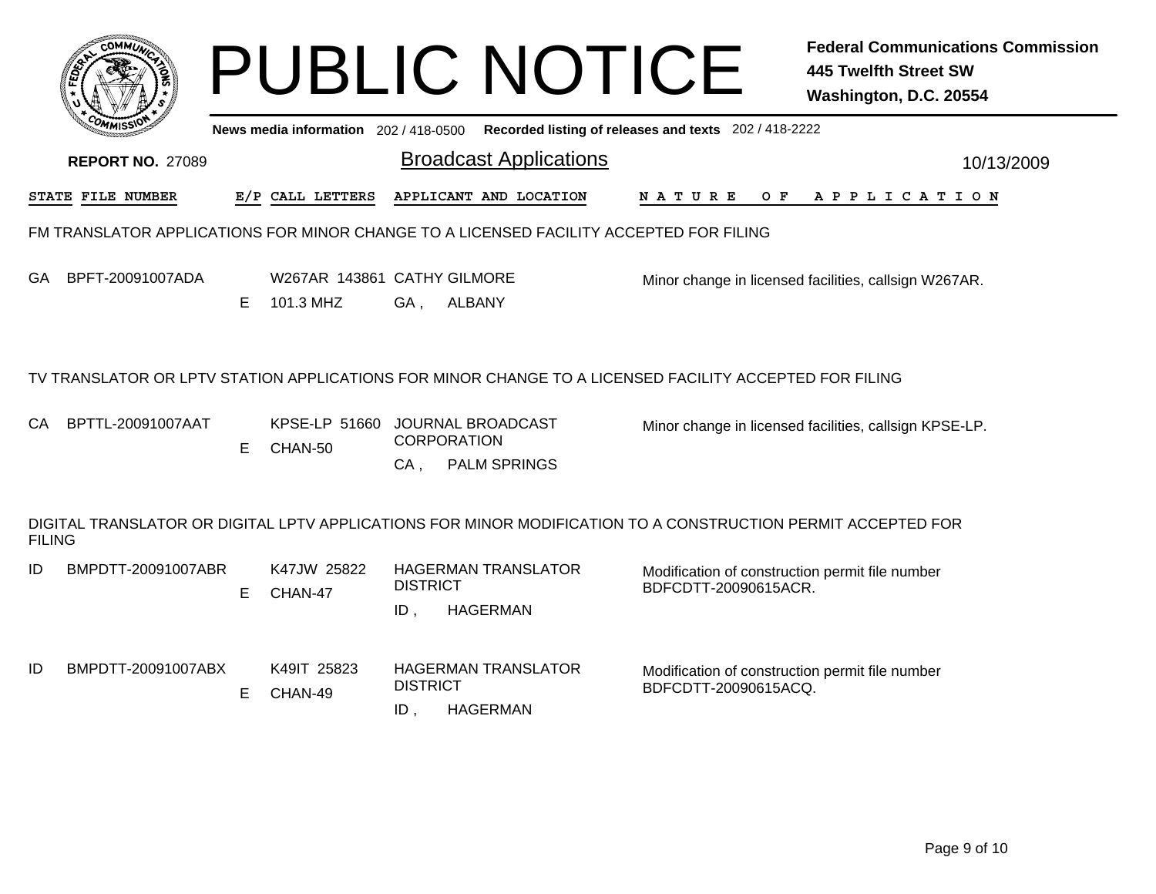|               |                         |    |                                          |                        | <b>PUBLIC NOTICE</b>                                                                                         |                                                                         | <b>Federal Communications Commission</b><br><b>445 Twelfth Street SW</b><br>Washington, D.C. 20554 |
|---------------|-------------------------|----|------------------------------------------|------------------------|--------------------------------------------------------------------------------------------------------------|-------------------------------------------------------------------------|----------------------------------------------------------------------------------------------------|
|               |                         |    | News media information 202 / 418-0500    |                        |                                                                                                              | Recorded listing of releases and texts 202 / 418-2222                   |                                                                                                    |
|               | <b>REPORT NO. 27089</b> |    |                                          |                        | <b>Broadcast Applications</b>                                                                                |                                                                         | 10/13/2009                                                                                         |
|               | STATE FILE NUMBER       |    | E/P CALL LETTERS                         |                        | APPLICANT AND LOCATION                                                                                       | N A T U R E<br>O F                                                      | A P P L I C A T I O N                                                                              |
|               |                         |    |                                          |                        | FM TRANSLATOR APPLICATIONS FOR MINOR CHANGE TO A LICENSED FACILITY ACCEPTED FOR FILING                       |                                                                         |                                                                                                    |
| GA            | BPFT-20091007ADA        | E. | W267AR 143861 CATHY GILMORE<br>101.3 MHZ | GA,                    | <b>ALBANY</b>                                                                                                |                                                                         | Minor change in licensed facilities, callsign W267AR.                                              |
|               |                         |    |                                          |                        | TV TRANSLATOR OR LPTV STATION APPLICATIONS FOR MINOR CHANGE TO A LICENSED FACILITY ACCEPTED FOR FILING       |                                                                         |                                                                                                    |
| CA            | BPTTL-20091007AAT       | Е  | KPSE-LP 51660<br>CHAN-50                 | CA,                    | JOURNAL BROADCAST<br><b>CORPORATION</b><br><b>PALM SPRINGS</b>                                               |                                                                         | Minor change in licensed facilities, callsign KPSE-LP.                                             |
| <b>FILING</b> |                         |    |                                          |                        | DIGITAL TRANSLATOR OR DIGITAL LPTV APPLICATIONS FOR MINOR MODIFICATION TO A CONSTRUCTION PERMIT ACCEPTED FOR |                                                                         |                                                                                                    |
| ID            | BMPDTT-20091007ABR      | E. | K47JW 25822<br>CHAN-47                   | <b>DISTRICT</b><br>ID, | <b>HAGERMAN TRANSLATOR</b><br><b>HAGERMAN</b>                                                                | Modification of construction permit file number<br>BDFCDTT-20090615ACR. |                                                                                                    |
| ID            | BMPDTT-20091007ABX      | E. | K49IT 25823<br>CHAN-49                   | <b>DISTRICT</b><br>ID, | <b>HAGERMAN TRANSLATOR</b><br><b>HAGERMAN</b>                                                                | Modification of construction permit file number<br>BDFCDTT-20090615ACQ. |                                                                                                    |